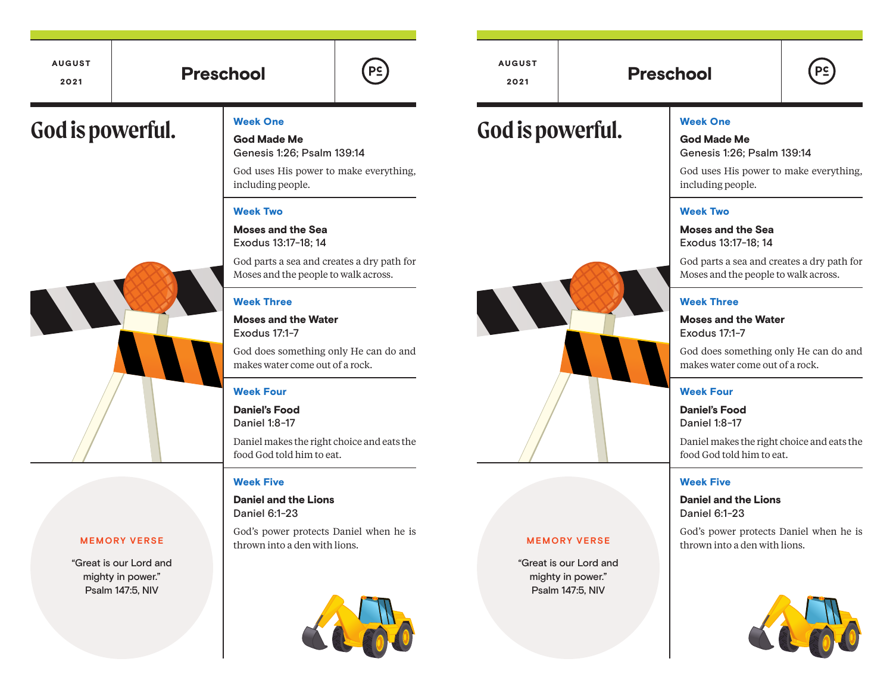# $\begin{array}{|c|c|c|c|c|}\hline \text{2021} & & \text{Preschool} & & \text{2021} & & \text{Preschool} \ \hline \end{array}$

AUGUST 2021

"Great is our Lord and mighty in power." Psalm 147:5, NIV

God Made Me Genesis 1:26; Psalm 139:14

God uses His power to make everything, including people.

 $P<sub>2</sub>$ 

### Week Two

Moses and the Sea Exodus 13:17-18; 14

God parts a sea and creates a dry path for Moses and the people to walk across.

#### Week Three

Moses and the Water Exodus 17:1-7

God does something only He can do and makes water come out of a rock.

#### Week Four

Daniel's Food Daniel 1:8-17

Daniel makes the right choice and eats the food God told him to eat.

#### Week Five

Daniel and the Lions Daniel 6:1-23

God's power protects Daniel when he is thrown into a den with lions.



God is powerful. The state of the state of the state of the state of the state of the state of the state of the state of the state of the state of the state of the state of the state of the state of the state of the state

AUGUST

### Week One God Made Me

Genesis 1:26; Psalm 139:14

God uses His power to make everything, including people.

### Week Two

Moses and the Sea Exodus 13:17-18; 14

God parts a sea and creates a dry path for Moses and the people to walk across.

### Week Three

Moses and the Water Exodus 17:1-7

God does something only He can do and makes water come out of a rock.

#### Week Four

Daniel's Food Daniel 1:8-17

Daniel makes the right choice and eats the food God told him to eat.

#### Week Five

Daniel and the Lions Daniel 6:1-23

God's power protects Daniel when he is thrown into a den with lions. **MEMORY VERSE**





#### **MEMORY VERSE**

"Great is our Lord and mighty in power." Psalm 147:5, NIV